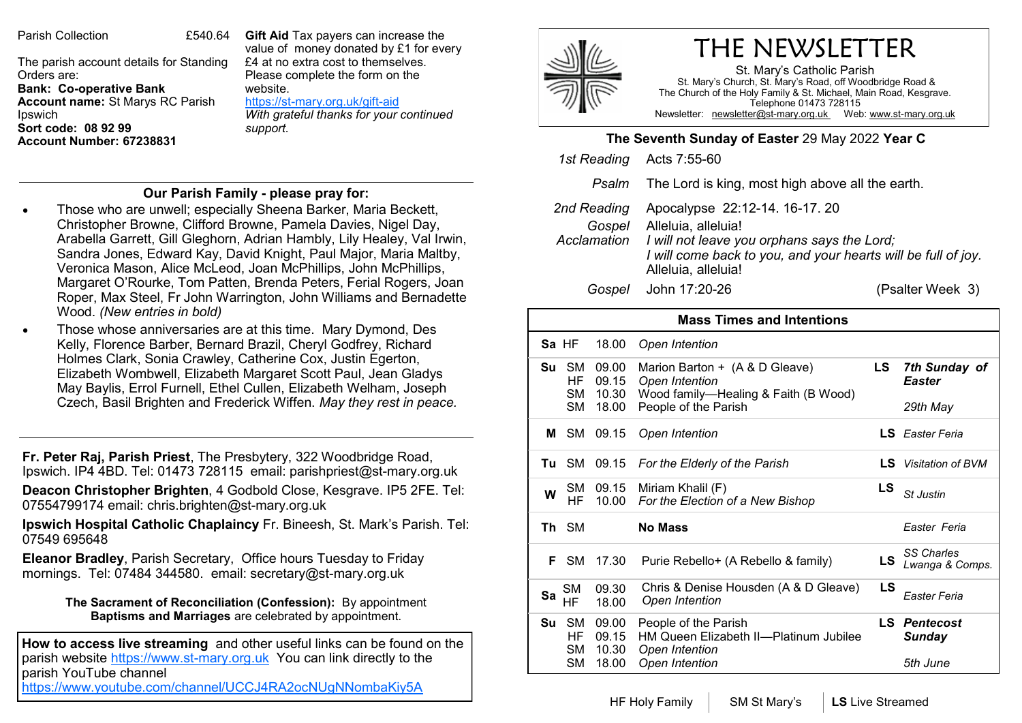Parish Collection 64

The parish account details for Standing Orders are: **Bank: Co-operative Bank Account name:** St Marys RC Parish Ipswich **Sort code: 08 92 99 Account Number: 67238831** 

**Gift Aid** Tax payers can increase the value of money donated by £1 for every £4 at no extra cost to themselves. Please complete the form on the website. https://st-[mary.org.uk/gift](https://www.st-mary.org.uk/gift-aid)-aid

*With grateful thanks for your continued support.*

## **Our Parish Family - please pray for:**

- Those who are unwell; especially Sheena Barker, Maria Beckett, Christopher Browne, Clifford Browne, Pamela Davies, Nigel Day, Arabella Garrett, Gill Gleghorn, Adrian Hambly, Lily Healey, Val Irwin, Sandra Jones, Edward Kay, David Knight, Paul Major, Maria Maltby, Veronica Mason, Alice McLeod, Joan McPhillips, John McPhillips, Margaret O'Rourke, Tom Patten, Brenda Peters, Ferial Rogers, Joan Roper, Max Steel, Fr John Warrington, John Williams and Bernadette Wood. *(New entries in bold)*
- Those whose anniversaries are at this time. Mary Dymond, Des Kelly, Florence Barber, Bernard Brazil, Cheryl Godfrey, Richard Holmes Clark, Sonia Crawley, Catherine Cox, Justin Egerton, Elizabeth Wombwell, Elizabeth Margaret Scott Paul, Jean Gladys May Baylis, Errol Furnell, Ethel Cullen, Elizabeth Welham, Joseph Czech, Basil Brighten and Frederick Wiffen. *May they rest in peace.*

**Fr. Peter Raj, Parish Priest**, The Presbytery, 322 Woodbridge Road, Ipswich. IP4 4BD. Tel: 01473 728115 email: parishpriest@st-mary.org.uk

**Deacon Christopher Brighten**, 4 Godbold Close, Kesgrave. IP5 2FE. Tel: 07554799174 email: chris.brighten@st-mary.org.uk

**Ipswich Hospital Catholic Chaplaincy** Fr. Bineesh, St. Mark's Parish. Tel: 07549 695648

**Eleanor Bradley**, Parish Secretary, Office hours Tuesday to Friday mornings. Tel: 07484 344580. email: secretary@st-mary.org.uk

> **The Sacrament of Reconciliation (Confession):** By appointment **Baptisms and Marriages** are celebrated by appointment.

**How to access live streaming** and other useful links can be found on the parish website https://www.st-mary.org.uk You can link directly to the parish YouTube channel <https://www.youtube.com/channel/UCCJ4RA2ocNUgNNombaKiy5A>

## THE NEWSLETTER

St. Mary's Catholic Parish St. Mary's Church, St. Mary's Road, off Woodbridge Road & The Church of the Holy Family & St. Michael, Main Road, Kesgrave. Telephone 01473 728115 Newsletter: newsletter@st-mary.org.uk Web: www.st-mary.org.uk

## **The Seventh Sunday of Easter** 29 May 2022 **Year C**

|             | 1st Reading Acts 7:55-60                                      |                                                                                                                                                            |  |
|-------------|---------------------------------------------------------------|------------------------------------------------------------------------------------------------------------------------------------------------------------|--|
|             | <i>Psalm</i> The Lord is king, most high above all the earth. |                                                                                                                                                            |  |
| 2nd Reading | Gospel Alleluia, alleluia!<br>Alleluia, alleluia!             | Apocalypse 22:12-14. 16-17. 20<br>Acclamation I will not leave you orphans says the Lord;<br>I will come back to you, and your hearts will be full of joy. |  |
| Gospel      | John 17:20-26                                                 | (Psalter Week 3)                                                                                                                                           |  |

| <b>Mass Times and Intentions</b> |                                           |                                  |                                                                                                                  |     |                                               |  |  |
|----------------------------------|-------------------------------------------|----------------------------------|------------------------------------------------------------------------------------------------------------------|-----|-----------------------------------------------|--|--|
|                                  | Sa HF                                     | 18.00                            | Open Intention                                                                                                   |     |                                               |  |  |
| Su                               | <b>SM</b><br>HF<br><b>SM</b><br><b>SM</b> | 09.00<br>09.15<br>10.30<br>18.00 | Marion Barton + (A & D Gleave)<br>Open Intention<br>Wood family-Healing & Faith (B Wood)<br>People of the Parish | LS  | 7th Sunday of<br><b>Easter</b><br>29th May    |  |  |
| м                                | -SM                                       | 09.15                            | Open Intention                                                                                                   |     | <b>LS</b> Easter Feria                        |  |  |
| Τu                               | <b>SM</b>                                 | 09.15                            | For the Elderly of the Parish                                                                                    |     | <b>LS</b> Visitation of BVM                   |  |  |
| W                                | SM<br>HF                                  | 09.15<br>10.00                   | Miriam Khalil (F)<br>For the Election of a New Bishop                                                            | LS  | St Justin                                     |  |  |
|                                  | Th SM                                     |                                  | <b>No Mass</b>                                                                                                   |     | Easter Feria                                  |  |  |
| F.                               | <b>SM</b>                                 | 17.30                            | Purie Rebello+ (A Rebello & family)                                                                              | LS  | <b>SS Charles</b><br>Lwanga & Comps.          |  |  |
| Sa                               | <b>SM</b><br>HF                           | 09.30<br>18.00                   | Chris & Denise Housden (A & D Gleave)<br>Open Intention                                                          | LS  | Easter Feria                                  |  |  |
| Su                               | <b>SM</b><br>HF<br>SM<br><b>SM</b>        | 09.00<br>09.15<br>10.30<br>18.00 | People of the Parish<br>HM Queen Elizabeth II-Platinum Jubilee<br>Open Intention<br>Open Intention               | LS. | <b>Pentecost</b><br><b>Sunday</b><br>5th June |  |  |